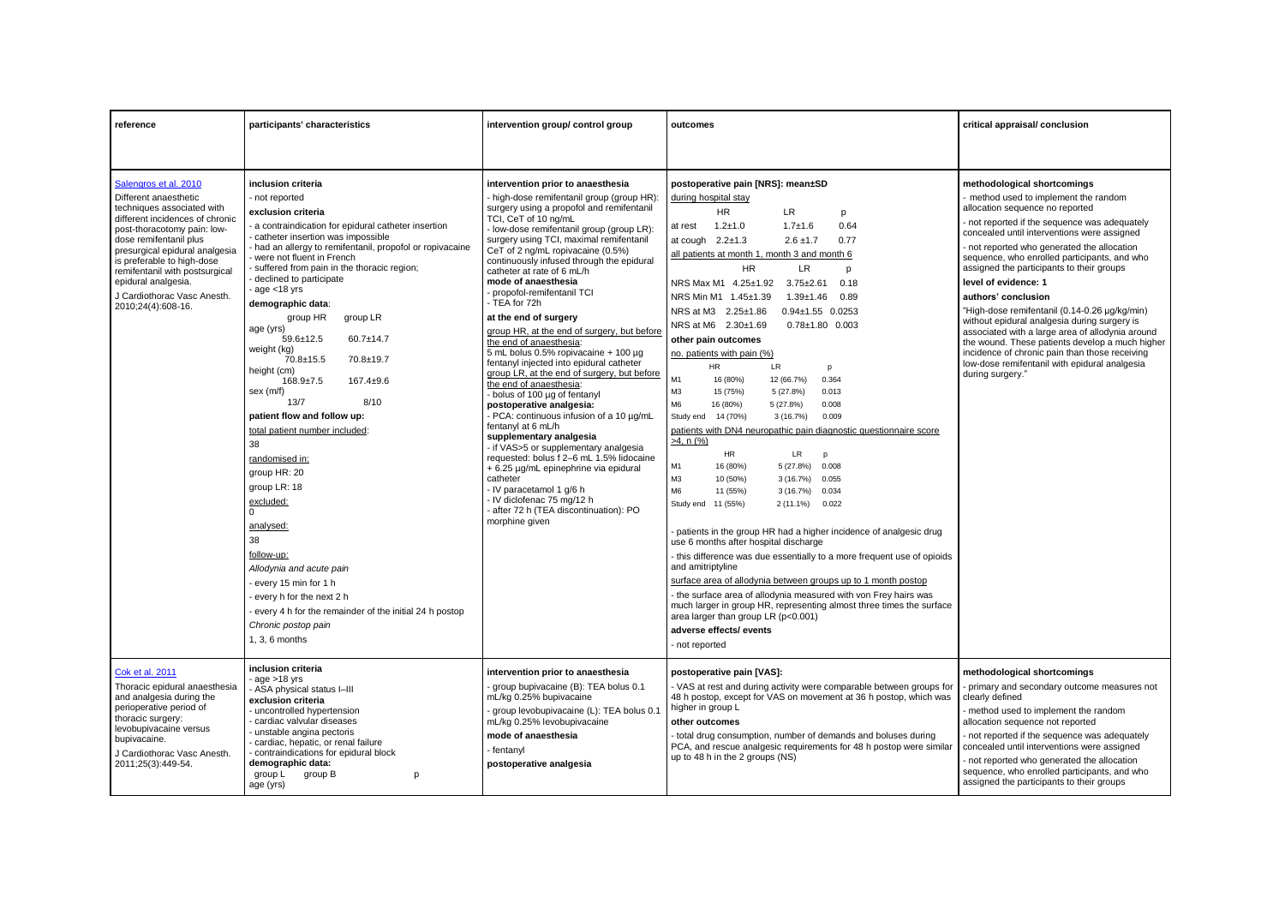| reference                                                                                                                                                                                                                                                                                                                                              | participants' characteristics                                                                                                                                                                                                                                                                                                                                                                                                                                                                                                                                                                                                                                                                                                                                                                                                                                                                                                                     | intervention group/ control group                                                                                                                                                                                                                                                                                                                                                                                                                                                                                                                                                                                                                                                                                                                                                                                                                                                                                                                                                                                                                                                                                        | outcomes                                                                                                                                                                                                                                                                                                                                                                                                                                                                                                                                                                                                                                                                                                                                                                                                                                                                                                                                                                                                                                                                                                                                                                                                                                                                                                                                                                                                                                                                                                                            | critical appraisal/conclusion                                                                                                                                                                                                                                                                                                                                                                                                                                                                                                                                                                                                                                                                                                     |
|--------------------------------------------------------------------------------------------------------------------------------------------------------------------------------------------------------------------------------------------------------------------------------------------------------------------------------------------------------|---------------------------------------------------------------------------------------------------------------------------------------------------------------------------------------------------------------------------------------------------------------------------------------------------------------------------------------------------------------------------------------------------------------------------------------------------------------------------------------------------------------------------------------------------------------------------------------------------------------------------------------------------------------------------------------------------------------------------------------------------------------------------------------------------------------------------------------------------------------------------------------------------------------------------------------------------|--------------------------------------------------------------------------------------------------------------------------------------------------------------------------------------------------------------------------------------------------------------------------------------------------------------------------------------------------------------------------------------------------------------------------------------------------------------------------------------------------------------------------------------------------------------------------------------------------------------------------------------------------------------------------------------------------------------------------------------------------------------------------------------------------------------------------------------------------------------------------------------------------------------------------------------------------------------------------------------------------------------------------------------------------------------------------------------------------------------------------|-------------------------------------------------------------------------------------------------------------------------------------------------------------------------------------------------------------------------------------------------------------------------------------------------------------------------------------------------------------------------------------------------------------------------------------------------------------------------------------------------------------------------------------------------------------------------------------------------------------------------------------------------------------------------------------------------------------------------------------------------------------------------------------------------------------------------------------------------------------------------------------------------------------------------------------------------------------------------------------------------------------------------------------------------------------------------------------------------------------------------------------------------------------------------------------------------------------------------------------------------------------------------------------------------------------------------------------------------------------------------------------------------------------------------------------------------------------------------------------------------------------------------------------|-----------------------------------------------------------------------------------------------------------------------------------------------------------------------------------------------------------------------------------------------------------------------------------------------------------------------------------------------------------------------------------------------------------------------------------------------------------------------------------------------------------------------------------------------------------------------------------------------------------------------------------------------------------------------------------------------------------------------------------|
|                                                                                                                                                                                                                                                                                                                                                        |                                                                                                                                                                                                                                                                                                                                                                                                                                                                                                                                                                                                                                                                                                                                                                                                                                                                                                                                                   |                                                                                                                                                                                                                                                                                                                                                                                                                                                                                                                                                                                                                                                                                                                                                                                                                                                                                                                                                                                                                                                                                                                          |                                                                                                                                                                                                                                                                                                                                                                                                                                                                                                                                                                                                                                                                                                                                                                                                                                                                                                                                                                                                                                                                                                                                                                                                                                                                                                                                                                                                                                                                                                                                     |                                                                                                                                                                                                                                                                                                                                                                                                                                                                                                                                                                                                                                                                                                                                   |
| Salengros et al. 2010<br>Different anaesthetic<br>techniques associated with<br>different incidences of chronic<br>post-thoracotomy pain: low-<br>dose remifentanil plus<br>presurgical epidural analgesia<br>is preferable to high-dose<br>remifentanil with postsurgical<br>epidural analgesia.<br>J Cardiothorac Vasc Anesth.<br>2010;24(4):608-16. | inclusion criteria<br>- not reported<br>exclusion criteria<br>a contraindication for epidural catheter insertion<br>catheter insertion was impossible<br>- had an allergy to remifentanil, propofol or ropivacaine<br>were not fluent in French<br>suffered from pain in the thoracic region;<br>declined to participate<br>$-$ age $<$ 18 yrs<br>demographic data:<br>group HR<br>group LR<br>age (yrs)<br>$59.6 \pm 12.5$<br>$60.7 \pm 14.7$<br>weight (kg)<br>70.8±15.5<br>70.8±19.7<br>height (cm)<br>$168.9 + 7.5$<br>$167.4 + 9.6$<br>sex (m/f)<br>13/7<br>8/10<br>patient flow and follow up:<br>total patient number included:<br>38<br>randomised in:<br>group HR: 20<br>group LR: 18<br>excluded:<br><sup>o</sup><br>analysed:<br>38<br>follow-up:<br>Allodynia and acute pain<br>every 15 min for 1 h<br>every h for the next 2 h<br>- every 4 h for the remainder of the initial 24 h postop<br>Chronic postop pain<br>1, 3, 6 months | intervention prior to anaesthesia<br>- high-dose remifentanil group (group HR):<br>surgery using a propofol and remifentanil<br>TCI, CeT of 10 ng/mL<br>- low-dose remifentanil group (group LR):<br>surgery using TCI, maximal remifentanil<br>CeT of 2 ng/mL ropivacaine (0.5%)<br>continuously infused through the epidural<br>catheter at rate of 6 mL/h<br>mode of anaesthesia<br>- propofol-remifentanil TCI<br>- TEA for 72h<br>at the end of surgery<br>group HR, at the end of surgery, but before<br>the end of anaesthesia:<br>5 mL bolus 0.5% ropivacaine + 100 µg<br>fentanyl injected into epidural catheter<br>group LR, at the end of surgery, but before<br>the end of anaesthesia:<br>bolus of 100 µg of fentanyl<br>postoperative analgesia:<br>PCA: continuous infusion of a 10 µg/mL<br>fentanyl at 6 mL/h<br>supplementary analgesia<br>- if VAS>5 or supplementary analgesia<br>requested: bolus f 2-6 mL 1.5% lidocaine<br>+ 6.25 µg/mL epinephrine via epidural<br>catheter<br>- IV paracetamol 1 g/6 h<br>- IV diclofenac 75 mg/12 h<br>after 72 h (TEA discontinuation): PO<br>morphine given | postoperative pain [NRS]: mean±SD<br>during hospital stay<br><b>HR</b><br>LR<br>p<br>0.64<br>$1.2 + 1.0$<br>$1.7 + 1.6$<br>at rest<br>at cough $2.2 \pm 1.3$<br>0.77<br>$2.6 \pm 1.7$<br>all patients at month 1, month 3 and month 6<br><b>HR</b><br>LR.<br>p<br>NRS Max M1 4.25±1.92 3.75±2.61<br>0.18<br>NRS Min M1 1.45±1.39<br>$1.39 + 1.46$<br>0.89<br>NRS at M3 2.25±1.86<br>$0.94 \pm 1.55$ 0.0253<br>NRS at M6 2.30±1.69<br>$0.78 \pm 1.80$ 0.003<br>other pain outcomes<br>no. patients with pain (%)<br>HR.<br>LR.<br>p<br>M1<br>0.364<br>16 (80%)<br>12 (66.7%)<br>M <sub>3</sub><br>15 (75%)<br>5(27.8%)<br>0.013<br>M <sub>6</sub><br>16 (80%)<br>0.008<br>5 (27.8%)<br>Study end 14 (70%)<br>3(16.7%)<br>0.009<br>patients with DN4 neuropathic pain diagnostic questionnaire score<br>$>4$ , n $(%)$<br><b>HR</b><br>LR<br>p<br>M1<br>16 (80%)<br>5(27.8%)<br>0.008<br>M <sub>3</sub><br>10 (50%)<br>3(16.7%)<br>0.055<br>M6<br>11 (55%)<br>3(16.7%)<br>0.034<br>Study end 11 (55%)<br>2 (11.1%) 0.022<br>patients in the group HR had a higher incidence of analgesic drug<br>use 6 months after hospital discharge<br>this difference was due essentially to a more frequent use of opioids<br>and amitriptyline<br>surface area of allodynia between groups up to 1 month postop<br>- the surface area of allodynia measured with von Frey hairs was<br>much larger in group HR, representing almost three times the surface<br>area larger than group LR (p<0.001)<br>adverse effects/ events<br>- not reported | methodological shortcomings<br>- method used to implement the random<br>allocation sequence no reported<br>- not reported if the sequence was adequately<br>concealed until interventions were assigned<br>- not reported who generated the allocation<br>sequence, who enrolled participants, and who<br>assigned the participants to their groups<br>level of evidence: 1<br>authors' conclusion<br>"High-dose remifentanil (0.14-0.26 µg/kg/min)<br>without epidural analgesia during surgery is<br>associated with a large area of allodynia around<br>the wound. These patients develop a much higher<br>incidence of chronic pain than those receiving<br>low-dose remifentanil with epidural analgesia<br>during surgery." |
| Cok et al. 2011<br>Thoracic epidural anaesthesia<br>and analgesia during the<br>perioperative period of<br>thoracic surgery:<br>levobupivacaine versus<br>bupivacaine.<br>J Cardiothorac Vasc Anesth.<br>2011;25(3):449-54.                                                                                                                            | inclusion criteria<br>$rac{1}{2}$ age >18 yrs<br>- ASA physical status I-III<br>exclusion criteria<br>- uncontrolled hypertension<br>cardiac valvular diseases<br>- unstable angina pectoris<br>- cardiac, hepatic, or renal failure<br>- contraindications for epidural block<br>demographic data:<br>group L group B<br>p<br>age (yrs)                                                                                                                                                                                                                                                                                                                                                                                                                                                                                                                                                                                                          | intervention prior to anaesthesia<br>group bupivacaine (B): TEA bolus 0.1<br>mL/kg 0.25% bupivacaine<br>group levobupivacaine (L): TEA bolus 0.1<br>mL/kg 0.25% levobupivacaine<br>mode of anaesthesia<br>- fentanyl<br>postoperative analgesia                                                                                                                                                                                                                                                                                                                                                                                                                                                                                                                                                                                                                                                                                                                                                                                                                                                                          | postoperative pain [VAS]:<br>- VAS at rest and during activity were comparable between groups for<br>48 h postop, except for VAS on movement at 36 h postop, which was<br>higher in group L<br>other outcomes<br>- total drug consumption, number of demands and boluses during<br>PCA, and rescue analgesic requirements for 48 h postop were similar<br>up to 48 h in the 2 groups (NS)                                                                                                                                                                                                                                                                                                                                                                                                                                                                                                                                                                                                                                                                                                                                                                                                                                                                                                                                                                                                                                                                                                                                           | methodological shortcomings<br>primary and secondary outcome measures not<br>clearly defined<br>method used to implement the random<br>allocation sequence not reported<br>not reported if the sequence was adequately<br>concealed until interventions were assigned<br>- not reported who generated the allocation<br>sequence, who enrolled participants, and who<br>assigned the participants to their groups                                                                                                                                                                                                                                                                                                                 |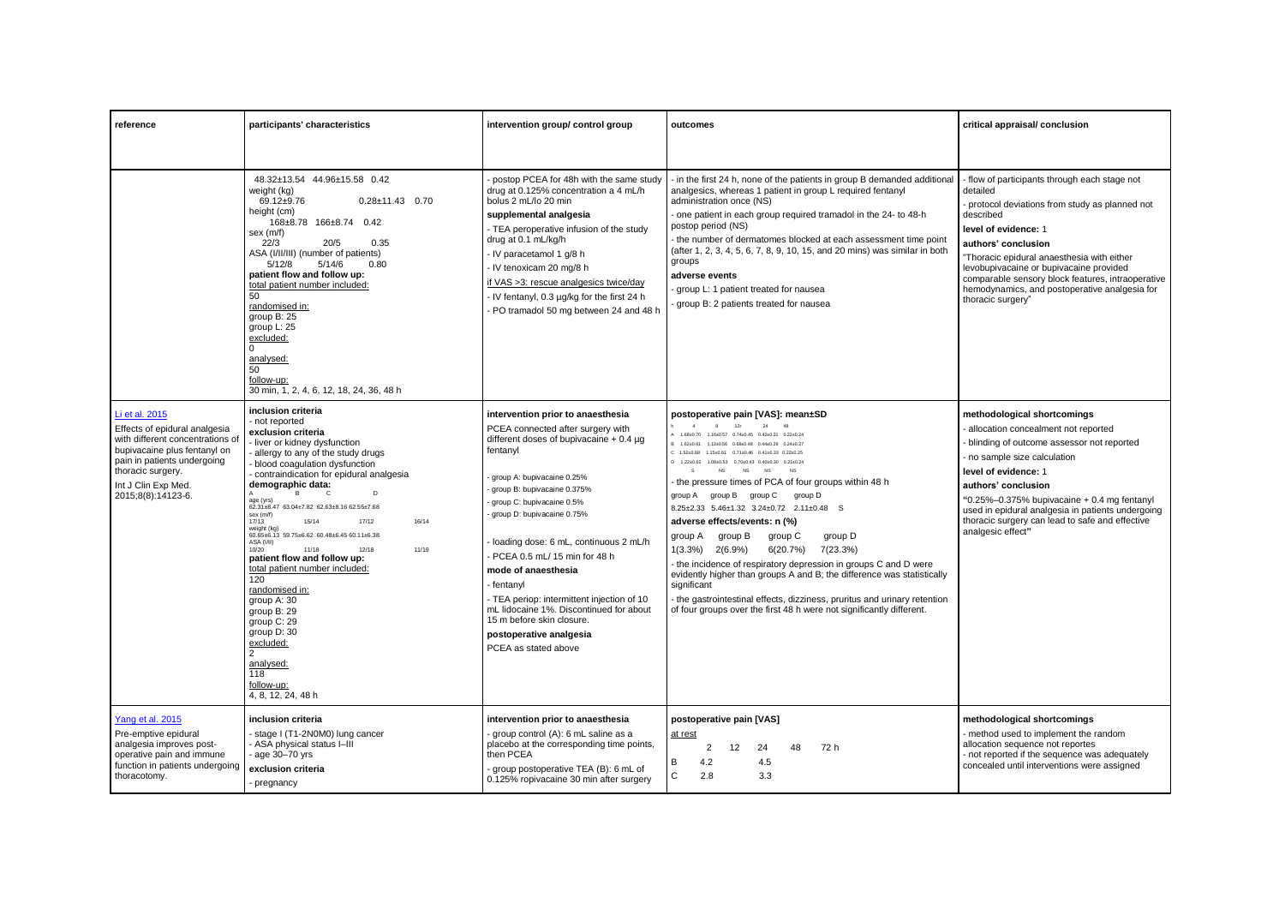| reference                                                                                                                                                                                                            | participants' characteristics                                                                                                                                                                                                                                                                                                                                                                                                                                                                                                                                                                                                                                                                                  | intervention group/ control group                                                                                                                                                                                                                                                                                                                                                                                                                                                                                                                | outcomes                                                                                                                                                                                                                                                                                                                                                                                                                                                                                                                                                                                                                                                                                                                                                                                                                                                                                                                                                | critical appraisal/ conclusion                                                                                                                                                                                                                                                                                                                                                             |
|----------------------------------------------------------------------------------------------------------------------------------------------------------------------------------------------------------------------|----------------------------------------------------------------------------------------------------------------------------------------------------------------------------------------------------------------------------------------------------------------------------------------------------------------------------------------------------------------------------------------------------------------------------------------------------------------------------------------------------------------------------------------------------------------------------------------------------------------------------------------------------------------------------------------------------------------|--------------------------------------------------------------------------------------------------------------------------------------------------------------------------------------------------------------------------------------------------------------------------------------------------------------------------------------------------------------------------------------------------------------------------------------------------------------------------------------------------------------------------------------------------|---------------------------------------------------------------------------------------------------------------------------------------------------------------------------------------------------------------------------------------------------------------------------------------------------------------------------------------------------------------------------------------------------------------------------------------------------------------------------------------------------------------------------------------------------------------------------------------------------------------------------------------------------------------------------------------------------------------------------------------------------------------------------------------------------------------------------------------------------------------------------------------------------------------------------------------------------------|--------------------------------------------------------------------------------------------------------------------------------------------------------------------------------------------------------------------------------------------------------------------------------------------------------------------------------------------------------------------------------------------|
|                                                                                                                                                                                                                      | 48.32±13.54 44.96±15.58 0.42<br>weight (kg)<br>69.12±9.76<br>$0.28 \pm 11.43$ 0.70<br>height (cm)<br>168±8.78 166±8.74 0.42<br>sex (m/f)<br>22/3<br>20/5<br>0.35<br>ASA (I/II/III) (number of patients)<br>5/12/8<br>5/14/6<br>0.80<br>patient flow and follow up:<br>total patient number included:<br>50<br>randomised in:<br>group B: 25<br>group L: 25<br>excluded:<br>$\Omega$<br>analysed:<br>50<br>follow-up:<br>30 min, 1, 2, 4, 6, 12, 18, 24, 36, 48 h                                                                                                                                                                                                                                               | postop PCEA for 48h with the same study<br>drug at 0.125% concentration a 4 mL/h<br>bolus 2 mL/lo 20 min<br>supplemental analgesia<br>- TEA peroperative infusion of the study<br>drug at 0.1 mL/kg/h<br>- IV paracetamol 1 g/8 h<br>- IV tenoxicam 20 mg/8 h<br>if VAS >3: rescue analgesics twice/day<br>- IV fentanyl, 0.3 µg/kg for the first 24 h<br>- PO tramadol 50 mg between 24 and 48 h                                                                                                                                                | - in the first 24 h, none of the patients in group B demanded additional<br>analgesics, whereas 1 patient in group L required fentanyl<br>administration once (NS)<br>- one patient in each group required tramadol in the 24- to 48-h<br>postop period (NS)<br>- the number of dermatomes blocked at each assessment time point<br>(after 1, 2, 3, 4, 5, 6, 7, 8, 9, 10, 15, and 20 mins) was similar in both<br>groups<br>adverse events<br>group L: 1 patient treated for nausea<br>group B: 2 patients treated for nausea                                                                                                                                                                                                                                                                                                                                                                                                                           | - flow of participants through each stage not<br>detailed<br>protocol deviations from study as planned not<br>described<br>level of evidence: 1<br>authors' conclusion<br>"Thoracic epidural anaesthesia with either<br>levobupivacaine or bupivacaine provided<br>comparable sensory block features, intraoperative<br>hemodynamics, and postoperative analgesia for<br>thoracic surgery" |
| Li et al. 2015<br>Effects of epidural analgesia<br>with different concentrations of<br>bupivacaine plus fentanyl on<br>pain in patients undergoing<br>thoracic surgery.<br>Int J Clin Exp Med.<br>2015;8(8):14123-6. | inclusion criteria<br>- not reported<br>exclusion criteria<br>- liver or kidney dysfunction<br>- allergy to any of the study drugs<br>- blood coagulation dysfunction<br>- contraindication for epidural analgesia<br>demographic data:<br>D<br>B<br>age (yrs)<br>62.31±8.47 63.04±7.82 62.63±8.16 62.55±7.68<br>sex (m/f)<br>17/13<br>15/14<br>16/14<br>17/12<br>weight (kg)<br>60.65±6.13 59.75±6.62 60.48±6.45 60.11±6.38<br>ASA (I/II)<br>11/18<br>12/18<br>11/19<br>10/20<br>patient flow and follow up:<br>total patient number included:<br>120<br>randomised in:<br>group A: 30<br>group B: 29<br>group C: 29<br>group D: 30<br>excluded:<br>2<br>analysed:<br>118<br>follow-up:<br>4, 8, 12, 24, 48 h | intervention prior to anaesthesia<br>PCEA connected after surgery with<br>different doses of bupivacaine $+0.4 \mu$ g<br>fentanvl<br>group A: bupivacaine 0.25%<br>group B: bupivacaine 0.375%<br>group C: bupivacaine 0.5%<br>group D: bupivacaine 0.75%<br>loading dose: 6 mL, continuous 2 mL/h<br>- PCEA 0.5 mL/ 15 min for 48 h<br>mode of anaesthesia<br>fentanyl<br>- TEA periop: intermittent injection of 10<br>mL lidocaine 1%. Discontinued for about<br>15 m before skin closure.<br>postoperative analgesia<br>PCEA as stated above | postoperative pain [VAS]: mean±SD<br>$4 \qquad 8 \qquad 12r$<br>24<br>48<br>A 1.68±0.70 1.16±0.57 0.74±0.45 0.42±0.31 0.22±0.24<br>B 1.62±0.61 1.12±0.56 0.68±0.48 0.44±0.29 0.24±0.27<br>C: 1.52+0.68 1.15+0.61 0.71+0.46 0.41+0.33 0.22+0.25<br>D 1.22±0.62 1.08±0.53 0.70±0.43 0.40±0.30 0.21±0.24<br>s<br>NS<br><b>NS</b><br><b>NS</b><br><b>NS</b><br>- the pressure times of PCA of four groups within 48 h<br>group B group C<br>group D<br>group A<br>8.25±2.33 5.46±1.32 3.24±0.72 2.11±0.48 S<br>adverse effects/events: n (%)<br>group A<br>group B<br>group C<br>group D<br>6(20.7%)<br>7(23.3%)<br>1(3.3%)<br>$2(6.9\%)$<br>- the incidence of respiratory depression in groups C and D were<br>evidently higher than groups A and B; the difference was statistically<br>significant<br>- the gastrointestinal effects, dizziness, pruritus and urinary retention<br>of four groups over the first 48 h were not significantly different. | methodological shortcomings<br>allocation concealment not reported<br>blinding of outcome assessor not reported<br>no sample size calculation<br>level of evidence: 1<br>authors' conclusion<br>"0.25%-0.375% bupivacaine $+$ 0.4 mg fentanyl<br>used in epidural analgesia in patients undergoing<br>thoracic surgery can lead to safe and effective<br>analgesic effect"                 |
| Yang et al. 2015<br>Pre-emptive epidural<br>analgesia improves post-<br>operative pain and immune<br>function in patients undergoing<br>thoracotomy.                                                                 | inclusion criteria<br>- stage I (T1-2N0M0) lung cancer<br>- ASA physical status I-III<br>- age 30-70 yrs<br>exclusion criteria<br>- pregnancy                                                                                                                                                                                                                                                                                                                                                                                                                                                                                                                                                                  | intervention prior to anaesthesia<br>group control (A): 6 mL saline as a<br>placebo at the corresponding time points,<br>then PCEA<br>group postoperative TEA (B): 6 mL of<br>0.125% ropivacaine 30 min after surgery                                                                                                                                                                                                                                                                                                                            | postoperative pain [VAS]<br>at rest<br>12<br>24<br>2<br>48<br>72 h<br>4.5<br>в<br>4.2<br>C<br>2.8<br>3.3                                                                                                                                                                                                                                                                                                                                                                                                                                                                                                                                                                                                                                                                                                                                                                                                                                                | methodological shortcomings<br>- method used to implement the random<br>allocation sequence not reportes<br>- not reported if the sequence was adequately<br>concealed until interventions were assigned                                                                                                                                                                                   |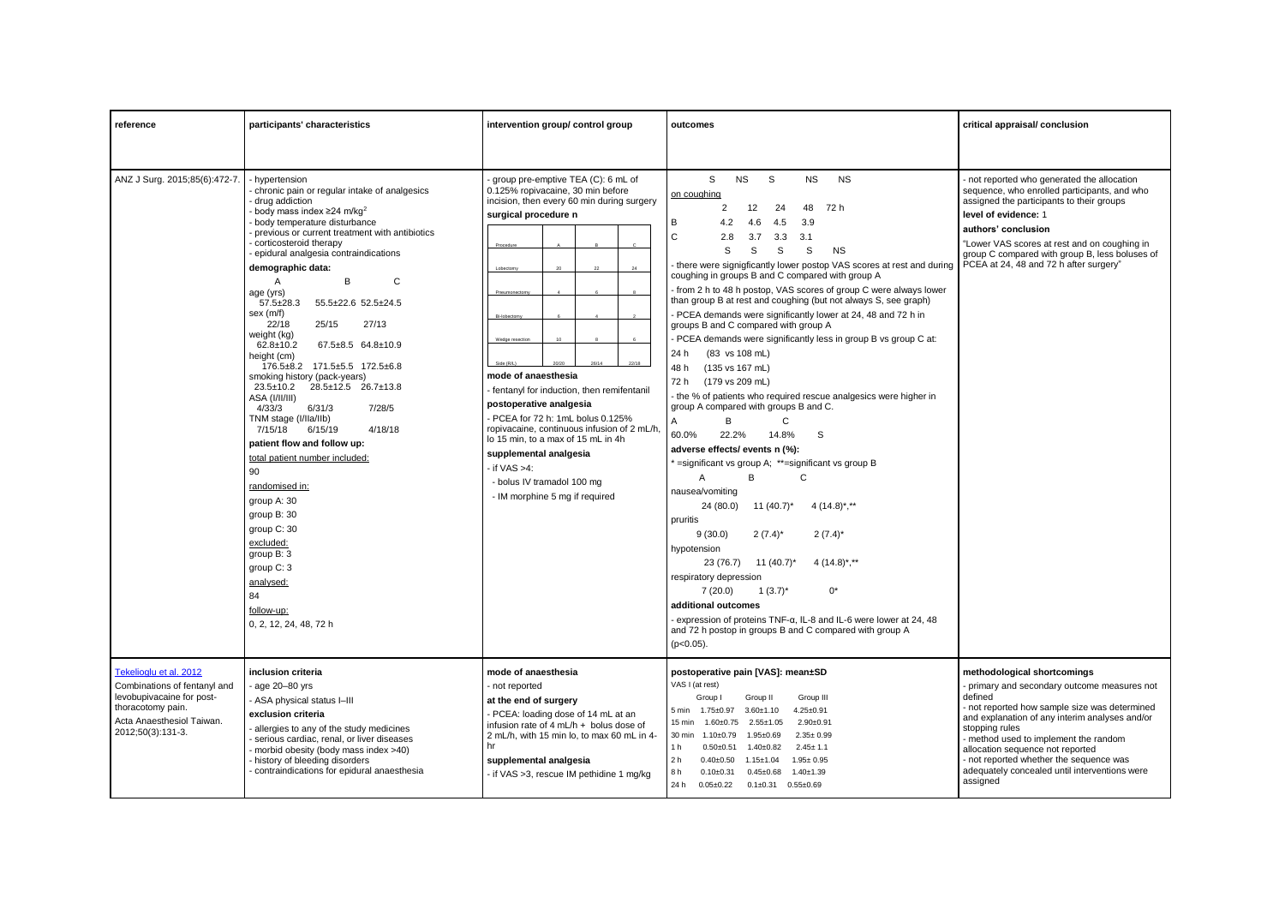| reference                                                                                                                                                  | participants' characteristics                                                                                                                                                                                                                                                                                                                                                                                                                                                                                                                                                                                                                                                                                                                                                                                                                                                                                                                                           | intervention group/ control group                                                                                                                                                                                                                                                                                                                                                                                                                                                                                            | outcomes                                                                                                                                                                                                                                                                                                                                                                                                                                                                                                                                                                                                                                                                                                                                                                                                                                                                                                                                                                                                                                                                                                                                                                                                                                                                                                                                                                                                                                                               | critical appraisal/ conclusion                                                                                                                                                                                                                                                                                                                                                                   |
|------------------------------------------------------------------------------------------------------------------------------------------------------------|-------------------------------------------------------------------------------------------------------------------------------------------------------------------------------------------------------------------------------------------------------------------------------------------------------------------------------------------------------------------------------------------------------------------------------------------------------------------------------------------------------------------------------------------------------------------------------------------------------------------------------------------------------------------------------------------------------------------------------------------------------------------------------------------------------------------------------------------------------------------------------------------------------------------------------------------------------------------------|------------------------------------------------------------------------------------------------------------------------------------------------------------------------------------------------------------------------------------------------------------------------------------------------------------------------------------------------------------------------------------------------------------------------------------------------------------------------------------------------------------------------------|------------------------------------------------------------------------------------------------------------------------------------------------------------------------------------------------------------------------------------------------------------------------------------------------------------------------------------------------------------------------------------------------------------------------------------------------------------------------------------------------------------------------------------------------------------------------------------------------------------------------------------------------------------------------------------------------------------------------------------------------------------------------------------------------------------------------------------------------------------------------------------------------------------------------------------------------------------------------------------------------------------------------------------------------------------------------------------------------------------------------------------------------------------------------------------------------------------------------------------------------------------------------------------------------------------------------------------------------------------------------------------------------------------------------------------------------------------------------|--------------------------------------------------------------------------------------------------------------------------------------------------------------------------------------------------------------------------------------------------------------------------------------------------------------------------------------------------------------------------------------------------|
|                                                                                                                                                            |                                                                                                                                                                                                                                                                                                                                                                                                                                                                                                                                                                                                                                                                                                                                                                                                                                                                                                                                                                         |                                                                                                                                                                                                                                                                                                                                                                                                                                                                                                                              |                                                                                                                                                                                                                                                                                                                                                                                                                                                                                                                                                                                                                                                                                                                                                                                                                                                                                                                                                                                                                                                                                                                                                                                                                                                                                                                                                                                                                                                                        |                                                                                                                                                                                                                                                                                                                                                                                                  |
| ANZ J Surg. 2015;85(6):472-7.                                                                                                                              | - hvpertension<br>chronic pain or regular intake of analgesics<br>drug addiction<br>body mass index $\geq$ 24 m/kg <sup>2</sup><br>body temperature disturbance<br>previous or current treatment with antibiotics<br>corticosteroid therapy<br>epidural analgesia contraindications<br>demographic data:<br>$\mathsf{C}$<br>B<br>Α<br>age (yrs)<br>$57.5 \pm 28.3$<br>55.5±22.6 52.5±24.5<br>sex (m/f)<br>22/18<br>25/15<br>27/13<br>weight (kg)<br>67.5±8.5 64.8±10.9<br>$62.8 \pm 10.2$<br>height (cm)<br>176.5±8.2 171.5±5.5 172.5±6.8<br>smoking history (pack-years)<br>$23.5 \pm 10.2$<br>28.5±12.5 26.7±13.8<br>ASA (I/II/III)<br>4/33/3<br>6/31/3<br>7/28/5<br>TNM stage (I/Ila/Ilb)<br>7/15/18<br>6/15/19<br>4/18/18<br>patient flow and follow up:<br>total patient number included:<br>90<br>randomised in:<br>group A: 30<br>group B: 30<br>group C: 30<br>excluded:<br>group B: 3<br>group C: 3<br>analysed:<br>84<br>follow-up:<br>0, 2, 12, 24, 48, 72 h | group pre-emptive TEA (C): 6 mL of<br>0.125% ropivacaine, 30 min before<br>incision, then every 60 min during surgery<br>surgical procedure n<br>Procedure<br>Wedge resectio<br>Side (R/I<br>mode of anaesthesia<br>- fentanyl for induction, then remifentanil<br>postoperative analgesia<br>- PCEA for 72 h: 1mL bolus 0.125%<br>ropivacaine, continuous infusion of 2 mL/h,<br>lo 15 min. to a max of 15 mL in 4h<br>supplemental analgesia<br>if VAS >4:<br>- bolus IV tramadol 100 mg<br>- IM morphine 5 mg if required | S<br><b>NS</b><br>S<br><b>NS</b><br><b>NS</b><br>on coughing<br>$\overline{2}$<br>12<br>24<br>48<br>72 h<br>в<br>4.2<br>4.6<br>4.5<br>3.9<br>$\mathsf{C}$<br>2.8<br>3.3<br>3.7<br>-3.1<br>S<br>S<br>S<br>S<br><b>NS</b><br>there were signigficantly lower postop VAS scores at rest and during<br>coughing in groups B and C compared with group A<br>from 2 h to 48 h postop, VAS scores of group C were always lower<br>than group B at rest and coughing (but not always S, see graph)<br>PCEA demands were significantly lower at 24, 48 and 72 h in<br>groups B and C compared with group A<br>PCEA demands were significantly less in group B vs group C at:<br>24 h<br>(83 vs 108 mL)<br>48 h<br>(135 vs 167 mL)<br>72 h<br>(179 vs 209 mL)<br>- the % of patients who required rescue analgesics were higher in<br>group A compared with groups B and C.<br>B<br>A<br>C<br>60.0%<br>22.2%<br>14.8%<br>S<br>adverse effects/ events n (%):<br>' = significant vs group A; ** = significant vs group B<br>A<br>B<br>C<br>nausea/vomiting<br>24 (80.0)<br>11 $(40.7)^*$<br>$4(14.8)$ <sup>*</sup> , <sup>**</sup><br>pruritis<br>9(30.0)<br>$2(7.4)^*$<br>$2(7.4)^*$<br>hypotension<br>$4(14.8)$ *,**<br>23 (76.7) 11 (40.7)*<br>respiratory depression<br>7(20.0)<br>$1(3.7)^{*}$<br>0*<br>additional outcomes<br>- expression of proteins TNF-α, IL-8 and IL-6 were lower at 24, 48<br>and 72 h postop in groups B and C compared with group A<br>$(p<0.05)$ . | - not reported who generated the allocation<br>sequence, who enrolled participants, and who<br>assigned the participants to their groups<br>level of evidence: 1<br>authors' conclusion<br>"Lower VAS scores at rest and on coughing in<br>group C compared with group B, less boluses of<br>PCEA at 24, 48 and 72 h after surgery"                                                              |
| Tekelioglu et al. 2012<br>Combinations of fentanyl and<br>levobupivacaine for post-<br>thoracotomy pain.<br>Acta Anaesthesiol Taiwan.<br>2012;50(3):131-3. | inclusion criteria<br>age 20-80 yrs<br>- ASA physical status I-III<br>exclusion criteria<br>allergies to any of the study medicines<br>serious cardiac, renal, or liver diseases<br>morbid obesity (body mass index >40)<br>- history of bleeding disorders<br>contraindications for epidural anaesthesia                                                                                                                                                                                                                                                                                                                                                                                                                                                                                                                                                                                                                                                               | mode of anaesthesia<br>- not reported<br>at the end of surgery<br>PCEA: loading dose of 14 mL at an<br>infusion rate of 4 mL/h + bolus dose of<br>2 mL/h, with 15 min lo, to max 60 mL in 4-<br>hr<br>supplemental analgesia<br>if VAS >3, rescue IM pethidine 1 mg/kg                                                                                                                                                                                                                                                       | postoperative pain [VAS]: mean±SD<br>VAS I (at rest)<br>Group I<br>Group II<br>Group III<br>5 min 1.75±0.97<br>$3.60 + 1.10$<br>$4.25 \pm 0.91$<br>15 min<br>$1.60 + 0.75$<br>$2.55 + 1.05$<br>$2.90 + 0.91$<br>30 min<br>$1.10 \pm 0.79$<br>$1.95 + 0.69$<br>$2.35 \pm 0.99$<br>$0.50 + 0.51$<br>$1.40 \pm 0.82$<br>$2.45 \pm 1.1$<br>1 h<br>2 <sub>h</sub><br>$0.40 \pm 0.50$<br>$1.15 \pm 1.04$<br>$1.95 \pm 0.95$<br>8h<br>$0.45 \pm 0.68$<br>$0.10 + 0.31$<br>$1.40 + 1.39$<br>24 h<br>$0.05 \pm 0.22$<br>$0.1\pm0.31$ $0.55\pm0.69$                                                                                                                                                                                                                                                                                                                                                                                                                                                                                                                                                                                                                                                                                                                                                                                                                                                                                                                              | methodological shortcomings<br>- primary and secondary outcome measures not<br>defined<br>- not reported how sample size was determined<br>and explanation of any interim analyses and/or<br>stopping rules<br>- method used to implement the random<br>allocation sequence not reported<br>- not reported whether the sequence was<br>adequately concealed until interventions were<br>assigned |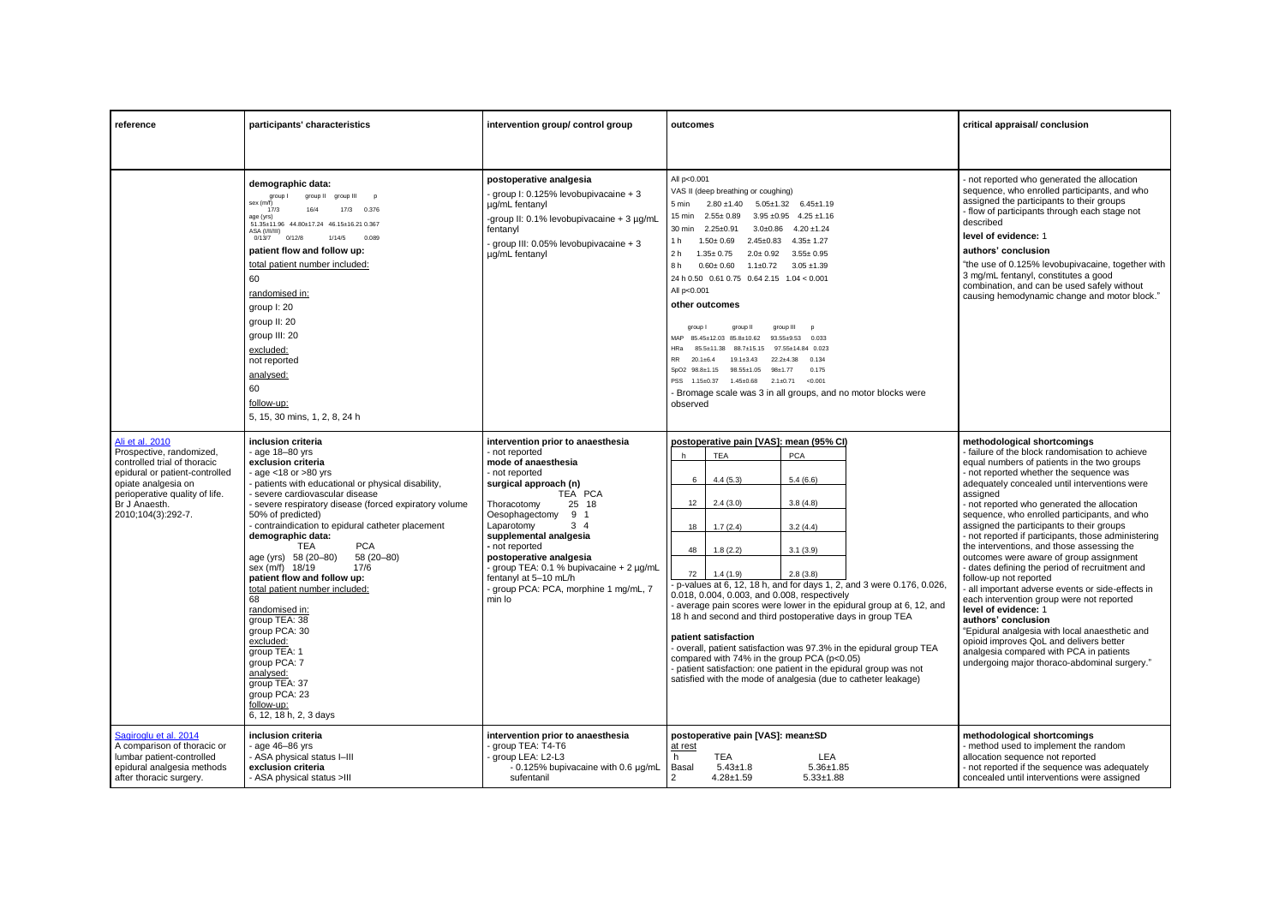| reference                                                                                                                                                                                                     | participants' characteristics                                                                                                                                                                                                                                                                                                                                                                                                                                                                                                                                                                                                                                                                            | intervention group/ control group                                                                                                                                                                                                                                                                                                                                                                      | outcomes                                                                                                                                                                                                                                                                                                                                                                                                                                                                                                                                                                                                                                                                                                                                                                                                                                                                                                                       | critical appraisal/ conclusion                                                                                                                                                                                                                                                                                                                                                                                                                                                                                                                                                                                                                                                                                                                                                                                                                                                                                                                         |
|---------------------------------------------------------------------------------------------------------------------------------------------------------------------------------------------------------------|----------------------------------------------------------------------------------------------------------------------------------------------------------------------------------------------------------------------------------------------------------------------------------------------------------------------------------------------------------------------------------------------------------------------------------------------------------------------------------------------------------------------------------------------------------------------------------------------------------------------------------------------------------------------------------------------------------|--------------------------------------------------------------------------------------------------------------------------------------------------------------------------------------------------------------------------------------------------------------------------------------------------------------------------------------------------------------------------------------------------------|--------------------------------------------------------------------------------------------------------------------------------------------------------------------------------------------------------------------------------------------------------------------------------------------------------------------------------------------------------------------------------------------------------------------------------------------------------------------------------------------------------------------------------------------------------------------------------------------------------------------------------------------------------------------------------------------------------------------------------------------------------------------------------------------------------------------------------------------------------------------------------------------------------------------------------|--------------------------------------------------------------------------------------------------------------------------------------------------------------------------------------------------------------------------------------------------------------------------------------------------------------------------------------------------------------------------------------------------------------------------------------------------------------------------------------------------------------------------------------------------------------------------------------------------------------------------------------------------------------------------------------------------------------------------------------------------------------------------------------------------------------------------------------------------------------------------------------------------------------------------------------------------------|
|                                                                                                                                                                                                               |                                                                                                                                                                                                                                                                                                                                                                                                                                                                                                                                                                                                                                                                                                          |                                                                                                                                                                                                                                                                                                                                                                                                        |                                                                                                                                                                                                                                                                                                                                                                                                                                                                                                                                                                                                                                                                                                                                                                                                                                                                                                                                |                                                                                                                                                                                                                                                                                                                                                                                                                                                                                                                                                                                                                                                                                                                                                                                                                                                                                                                                                        |
|                                                                                                                                                                                                               | demographic data:<br>group I<br>group II<br>group III<br><b>p</b><br>sex (m/f)<br>17/3<br>16/4<br>17/3<br>0.376<br>age (yrs)<br>51.35±11.96 44.80±17.24 46.15±16.21 0.367<br>ASA (I/II/III)<br>0/12/8<br>1/14/5<br>0/13/7<br>0.089<br>patient flow and follow up:<br>total patient number included:<br>60<br>randomised in:<br>group I: 20<br>group II: 20<br>group III: 20<br>excluded:<br>not reported<br>analysed:<br>60<br>follow-up:<br>5, 15, 30 mins, 1, 2, 8, 24 h                                                                                                                                                                                                                               | postoperative analgesia<br>group I: 0.125% levobupivacaine + 3<br>µg/mL fentanyl<br>-group II: 0.1% levobupivacaine + 3 µg/mL<br>fentanyl<br>group III: 0.05% levobupivacaine + 3<br>ug/mL fentanyl                                                                                                                                                                                                    | All p<0.001<br>VAS II (deep breathing or coughing)<br>$2.80 \pm 1.40$<br>$5.05 \pm 1.32$ $6.45 \pm 1.19$<br>5 min<br>$2.55 \pm 0.89$<br>$3.95 \pm 0.95$ 4.25 $\pm 1.16$<br>15 min<br>$2.25 \pm 0.91$<br>$3.0\pm0.86$ 4.20 $\pm1.24$<br>30 min<br>$1.50 \pm 0.69$<br>$2.45 \pm 0.83$ $4.35 \pm 1.27$<br>1 h<br>$1.35 \pm 0.75$<br>$2.0 \pm 0.92$ 3.55 $\pm$ 0.95<br>2 h<br>8h<br>$0.60 \pm 0.60$ $1.1 \pm 0.72$ $3.05 \pm 1.39$<br>24 h 0.50 0.61 0.75 0.64 2.15 1.04 < 0.001<br>All p<0.001<br>other outcomes<br>group I<br>group III<br>group II<br>p<br>MAP 85.45±12.03 85.8±10.62<br>$93.55 \pm 9.53$<br>0.033<br>HR a<br>88.7±15.15<br>97.55+14.84 0.023<br>85.5+11.38<br>RR 20.1±6.4<br>$19.1 \pm 3.43$<br>0.134<br>$22.2+4.38$<br>0.175<br>SpO2 98.8±1.15<br>98.55±1.05 98±1.77<br>PSS 1.15±0.37<br>$1.45 \pm 0.68$ 2.1 $\pm 0.71$<br>< 0.001<br>Bromage scale was 3 in all groups, and no motor blocks were<br>observed | - not reported who generated the allocation<br>sequence, who enrolled participants, and who<br>assigned the participants to their groups<br>- flow of participants through each stage not<br>described<br>level of evidence: 1<br>authors' conclusion<br>"the use of 0.125% levobupivacaine, together with<br>3 mg/mL fentanyl, constitutes a good<br>combination, and can be used safely without<br>causing hemodynamic change and motor block."                                                                                                                                                                                                                                                                                                                                                                                                                                                                                                      |
| Ali et al. 2010<br>Prospective, randomized,<br>controlled trial of thoracic<br>epidural or patient-controlled<br>opiate analgesia on<br>perioperative quality of life.<br>Br J Anaesth.<br>2010;104(3):292-7. | inclusion criteria<br>- age 18-80 yrs<br>exclusion criteria<br>- age $<$ 18 or $>$ 80 yrs<br>- patients with educational or physical disability,<br>- severe cardiovascular disease<br>- severe respiratory disease (forced expiratory volume<br>50% of predicted)<br>- contraindication to epidural catheter placement<br>demographic data:<br><b>TEA</b><br><b>PCA</b><br>age (yrs) 58 (20-80)<br>58 (20-80)<br>sex (m/f) 18/19<br>17/6<br>patient flow and follow up:<br>total patient number included:<br>68<br>randomised in:<br>group TEA: 38<br>group PCA: 30<br>excluded:<br>group TEA: 1<br>group PCA: 7<br>analysed:<br>group TEA: 37<br>group PCA: 23<br>follow-up:<br>6, 12, 18 h, 2, 3 days | intervention prior to anaesthesia<br>not reported<br>mode of anaesthesia<br>- not reported<br>surgical approach (n)<br>TEA PCA<br>25 18<br>Thoracotomy<br>Oesophagectomy<br>9 1<br>Laparotomy<br>$3\quad 4$<br>supplemental analgesia<br>- not reported<br>postoperative analgesia<br>group TEA: 0.1 % bupivacaine + 2 µg/mL<br>fentanyl at 5–10 mL/h<br>group PCA: PCA, morphine 1 mg/mL, 7<br>min lo | postoperative pain [VAS]: mean (95% CI)<br><b>TEA</b><br><b>PCA</b><br>h<br>5.4(6.6)<br>6<br>4.4(5.3)<br>12<br>2.4(3.0)<br>3.8(4.8)<br>1.7(2.4)<br>3.2(4.4)<br>18<br>3.1(3.9)<br>1.8(2.2)<br>48<br>72<br>1.4(1.9)<br>2.8(3.8)<br>p-values at 6, 12, 18 h, and for days 1, 2, and 3 were 0.176, 0.026,<br>0.018, 0.004, 0.003, and 0.008, respectively<br>average pain scores were lower in the epidural group at 6, 12, and<br>18 h and second and third postoperative days in group TEA<br>patient satisfaction<br>- overall, patient satisfaction was 97.3% in the epidural group TEA<br>compared with 74% in the group PCA (p<0.05)<br>patient satisfaction: one patient in the epidural group was not<br>satisfied with the mode of analgesia (due to catheter leakage)                                                                                                                                                    | methodological shortcomings<br>- failure of the block randomisation to achieve<br>equal numbers of patients in the two groups<br>- not reported whether the sequence was<br>adequately concealed until interventions were<br>assigned<br>- not reported who generated the allocation<br>sequence, who enrolled participants, and who<br>assigned the participants to their groups<br>- not reported if participants, those administering<br>the interventions, and those assessing the<br>outcomes were aware of group assignment<br>- dates defining the period of recruitment and<br>follow-up not reported<br>- all important adverse events or side-effects in<br>each intervention group were not reported<br>level of evidence: 1<br>authors' conclusion<br>"Epidural analgesia with local anaesthetic and<br>opioid improves QoL and delivers better<br>analgesia compared with PCA in patients<br>undergoing major thoraco-abdominal surgery." |
| Sagiroglu et al. 2014<br>A comparison of thoracic or<br>lumbar patient-controlled<br>epidural analgesia methods<br>after thoracic surgery.                                                                    | inclusion criteria<br>age 46-86 yrs<br>- ASA physical status I-III<br>exclusion criteria<br>- ASA physical status >III                                                                                                                                                                                                                                                                                                                                                                                                                                                                                                                                                                                   | intervention prior to anaesthesia<br>group TEA: T4-T6<br>group LEA: L2-L3<br>- 0.125% bupivacaine with 0.6 µg/mL<br>sufentanil                                                                                                                                                                                                                                                                         | postoperative pain [VAS]: mean±SD<br>at rest<br><b>TEA</b><br>LEA<br>h.<br>$5.43 \pm 1.8$<br>$5.36 \pm 1.85$<br>Basal<br>$\overline{2}$<br>$4.28 \pm 1.59$<br>$5.33 \pm 1.88$                                                                                                                                                                                                                                                                                                                                                                                                                                                                                                                                                                                                                                                                                                                                                  | methodological shortcomings<br>- method used to implement the random<br>allocation sequence not reported<br>- not reported if the sequence was adequately<br>concealed until interventions were assigned                                                                                                                                                                                                                                                                                                                                                                                                                                                                                                                                                                                                                                                                                                                                               |